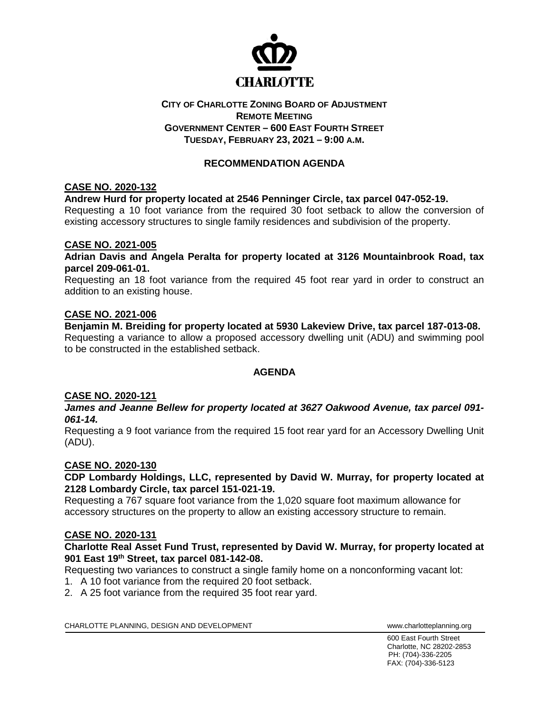

## **CITY OF CHARLOTTE ZONING BOARD OF ADJUSTMENT REMOTE MEETING GOVERNMENT CENTER – 600 EAST FOURTH STREET TUESDAY, FEBRUARY 23, 2021 – 9:00 A.M.**

# **RECOMMENDATION AGENDA**

# **CASE NO. 2020-132**

## **Andrew Hurd for property located at 2546 Penninger Circle, tax parcel 047-052-19.**

Requesting a 10 foot variance from the required 30 foot setback to allow the conversion of existing accessory structures to single family residences and subdivision of the property.

### **CASE NO. 2021-005**

**Adrian Davis and Angela Peralta for property located at 3126 Mountainbrook Road, tax parcel 209-061-01.**

Requesting an 18 foot variance from the required 45 foot rear yard in order to construct an addition to an existing house.

### **CASE NO. 2021-006**

**Benjamin M. Breiding for property located at 5930 Lakeview Drive, tax parcel 187-013-08.** Requesting a variance to allow a proposed accessory dwelling unit (ADU) and swimming pool to be constructed in the established setback.

## **AGENDA**

#### **CASE NO. 2020-121**

*James and Jeanne Bellew for property located at 3627 Oakwood Avenue, tax parcel 091- 061-14.* 

Requesting a 9 foot variance from the required 15 foot rear yard for an Accessory Dwelling Unit (ADU).

## **CASE NO. 2020-130**

**CDP Lombardy Holdings, LLC, represented by David W. Murray, for property located at 2128 Lombardy Circle, tax parcel 151-021-19.**

Requesting a 767 square foot variance from the 1,020 square foot maximum allowance for accessory structures on the property to allow an existing accessory structure to remain.

#### **CASE NO. 2020-131**

### **Charlotte Real Asset Fund Trust, represented by David W. Murray, for property located at 901 East 19th Street, tax parcel 081-142-08.**

Requesting two variances to construct a single family home on a nonconforming vacant lot:

- 1. A 10 foot variance from the required 20 foot setback.
- 2. A 25 foot variance from the required 35 foot rear yard.

CHARLOTTE PLANNING, DESIGN AND DEVELOPMENT WWW.Charlotteplanning.org

600 East Fourth Street Charlotte, NC 28202-2853 PH: (704)-336-2205 FAX: (704)-336-5123